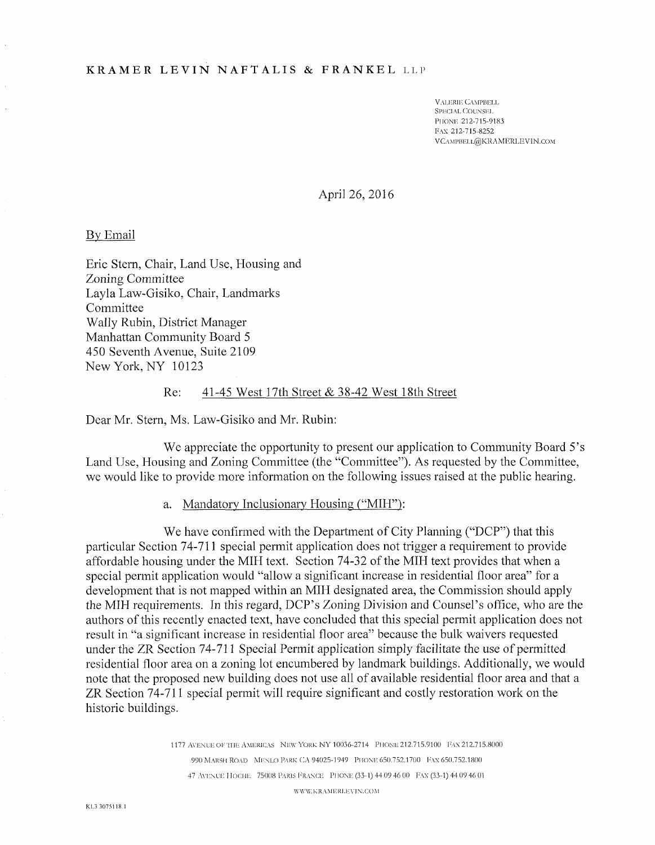# **KRAMER LEVIN NAFTALIS & FRANKEL** LLP

VALERIE CAMPBELL SPECIAL COUNSEL PlIONli 212-715-9183 FAX 212-715-8252 VCAMPBELL@KRAMERLEVIN.COM

April 26, 2016

#### By Email

Eric Stern, Chair, Land Use, Housing and Zoning Committee Layla Law-Gisiko, Chair, Landmarks Committee Wally Rubin, District Manager Manhattan Community Board 5 450 Seventh Avenue, Suite 2109 New York, NY 10123

### Re: 41-45 West 17th Street & 38-42 West 18th Street

Dear Mr. Stern, Ms. Law-Gisiko and Mr. Rubin:

We appreciate the opportunity to present our application to Community Board 5's Land Use, Housing and Zoning Committee (the "Committee"). As requested by the Committee, we would like to provide more information on the following issues raised at the public hearing.

a. Mandatory Inclusionary Housing ("MIH"):

We have confirmed with the Department of City Planning ("DCP") that this particular Section 74-711 special permit application does not trigger a requirement to provide affordable housing under the MIH text. Section 74-32 of the MIH text provides that when a special permit application would "allow a significant increase in residential floor area" for a development that is not mapped within an MIH designated area, the Commission should apply the MIH requirements. In this regard, DCP's Zoning Division and Counsel's office, who are the authors of this recently enacted text, have concluded that this special permit application does not result in "a significant increase in residential floor area" because the bulk waivers requested under the ZR Section 74-711 Special Permit application simply facilitate the use of permitted residential floor area on a zoning lot encumbered by landmark buildings. Additionally, we would note that the proposed new building does not use all of available residential floor area and that a ZR Section 74-711 special permit will require significant and costly restoration work on the historic buildings.

> 1177 AVENUE OETI IE AMERICAS NEW YORK NY 10036-2714 PIIONE212.715.9100 FAX 212.715.8000 990 MARSH ROAD MENLO PARK CA 94025-1949 PHONE 650.752.1700 FAX 650.752.1800 47 AVENUE HOCHE 75008 PARIS FRANCE PHONE (33-1) 44 09 46 00 FAX (33-1) 44 09 46 01

> > \Y\V\Y. KRAMERI.EYIN.COM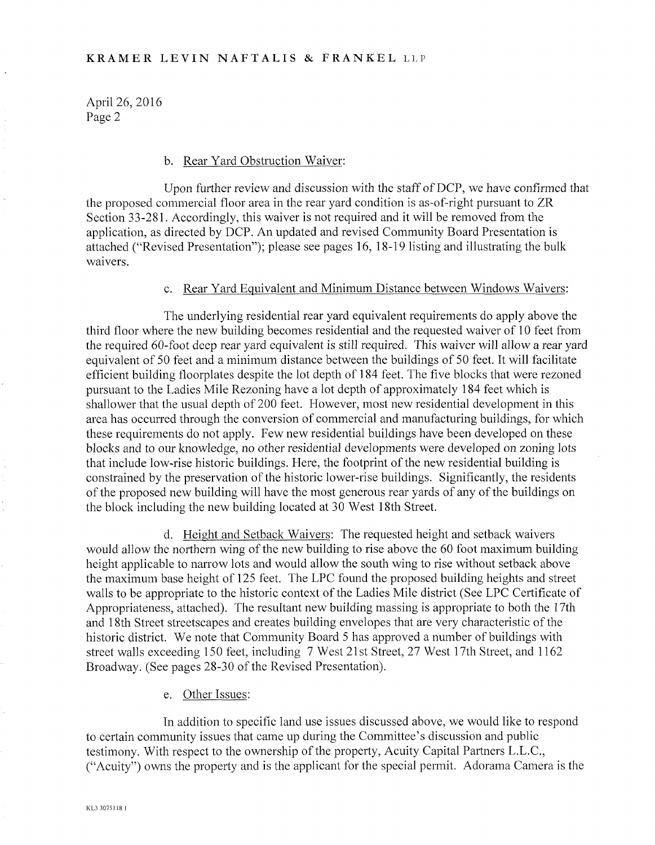April 26, 2016 Page 2

#### b. Rear Yard Obstruction Waiver:

Upon further review and discussion with the staff of DCP, we have confirmed that the proposed commercial floor area in the rear yard condition is as-of-right pursuant to ZR Section 33-281. Accordingly, this waiver is not required and it will be removed from the application, as directed by DCP. An updated and revised Community Board Presentation is attached ("Revised Presentation"); please see pages 16, 18-19 listing and illustrating the bulk waivers.

## c. Rear Yard Equivalent and Minimum Distance between Windows Waivers:

The underlying residential rear yard equivalent requirements do apply above the third floor where the new building becomes residential and the requested waiver of 10 feet from the required 60-foot deep rear yard equivalent is still required. This waiver will allow a rear yard equivalent of 50 feet and a minimum distance between the buildings of 50 feet. It will facilitate efficient building floorplates despite the lot depth of 184 feet. The five blocks that were rezoned pursuant to the Ladies Mile Rezoning have a lot depth of approximately 184 feet which is shallower that the usual depth of 200 feet. However, most new residential development in this area has occurred through the conversion of commercial and manufacturing buildings, for which these requirements do not apply. Few new residential buildings have been developed on these blocks and to our knowledge, no other residential developments were developed on zoning lots that include low-rise historic buildings. Here, the footprint of the new residential building is constrained by the preservation of the historic lower-rise buildings. Significantly, the residents of the proposed new building will have the most generous rear yards of any of the buildings on the block including the new building located at 30 West 18th Street.

d. Height and Setback Waivers: The requested height and setback waivers would allow the northern wing of the new building to rise above the 60 foot maximum building height applicable to narrow lots and would allow the south wing to rise without setback above the maximum base height of 125 feet. The LPC found the proposed building heights and street walls to be appropriate to the historic context of the Ladies Mile district (See LPC Certificate of Appropriateness, attached). The resultant new building massing is appropriate to both the 17th and 18th Street streetscapes and creates building envelopes that are very characteristic of the historic district. We note that Community Board 5 has approved a number of buildings with street walls exceeding 150 feet, including 7 West 21st Street, 27 West 17th Street, and 1162 Broadway. (See pages 28-30 of the Revised Presentation).

e. Other Issues:

In addition to specific land use issues discussed above, we would like to respond to certain community issues that came up during the Committee's discussion and public testimony. With respect to the ownership of the property, Acuity Capital Partners L.L.C., ("Acuity") owns the property and is the applicant for the special permit. Adorama Camera is the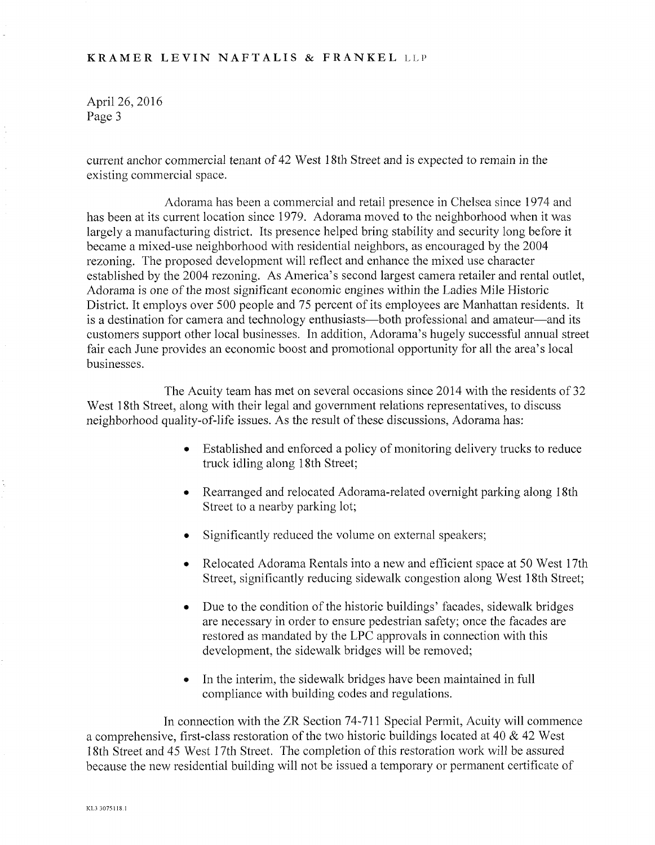## **KRAMER LEVIN NAFTALIS & FRANKEL** LLP

April 26, 2016 Page 3

current anchor commercial tenant of 42 West 18th Street and is expected to remain in the existing commercial space.

Adorama has been a commercial and retail presence in Chelsea since 1974 and has been at its current location since 1979. Adorama moved to the neighborhood when it was largely a manufacturing district. Its presence helped bring stability and security long before it became a mixed-use neighborhood with residential neighbors, as encouraged by the 2004 rezoning. The proposed development will reflect and enhance the mixed use character established by the 2004 rezoning. As America's second largest camera retailer and rental outlet, Adorama is one of the most significant economic engines within the Ladies Mile Historic District. It employs over 500 people and 75 percent of its employees are Manhattan residents. It is a destination for camera and technology enthusiasts—both professional and amateur—and its customers support other local businesses. In addition, Adorama's hugely successful annual street fair each June provides an economic boost and promotional opportunity for all the area's local businesses.

The Acuity team has met on several occasions since 2014 with the residents of 32 West 18th Street, along with their legal and government relations representatives, to discuss neighborhood quality-of-life issues. As the result of these discussions, Adorama has:

- Established and enforced a policy of monitoring delivery trucks to reduce truck idling along 18th Street;
- Rearranged and relocated Adorama-related overnight parking along 18th Street to a nearby parking lot;
- Significantly reduced the volume on external speakers;
- Relocated Adorama Rentals into a new and efficient space at 50 West 17th Street, significantly reducing sidewalk congestion along West 18th Street;
- Due to the condition of the historic buildings' facades, sidewalk bridges are necessary in order to ensure pedestrian safety; once the facades are restored as mandated by the LPC approvals in connection with this development, the sidewalk bridges will be removed;
- In the interim, the sidewalk bridges have been maintained in full compliance with building codes and regulations.

In connection with the ZR Section 74-711 Special Permit, Acuity will commence a comprehensive, first-class restoration of the two historic buildings located at 40 & 42 West 18th Street and 45 West 17th Street. The completion of this restoration work will be assured because the new residential building will not be issued a temporary or permanent certificate of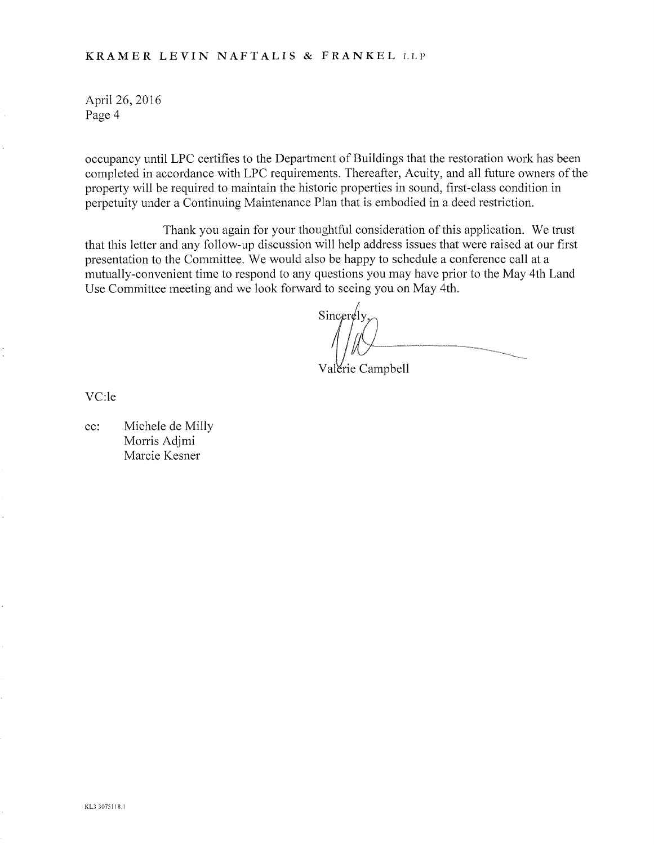# **KRAMER LEVIN NAFTALIS & FRANKEL** LLP

April 26, 2016 Page 4

occupancy until LPC certifies to the Department of Buildings that the restoration work has been completed in accordance with LPC requirements. Thereafter, Acuity, and all future owners of the property will be required to maintain the historic properties in sound, first-class condition in perpetuity under a Continuing Maintenance Plan that is embodied in a deed restriction.

Thank you again for your thoughtful consideration of this application. We trust that this letter and any follow-up discussion will help address issues that were raised at our first presentation to the Committee. We would also be happy to schedule a conference call at a mutually-convenient time to respond to any questions you may have prior to the May 4th Land Use Committee meeting and we look forward to seeing you on May 4th.

 $Sineer \notin$ ly

Valerie Campbell

VC:le

cc: Michele de Milly Morris Adjmi Marcie Kesner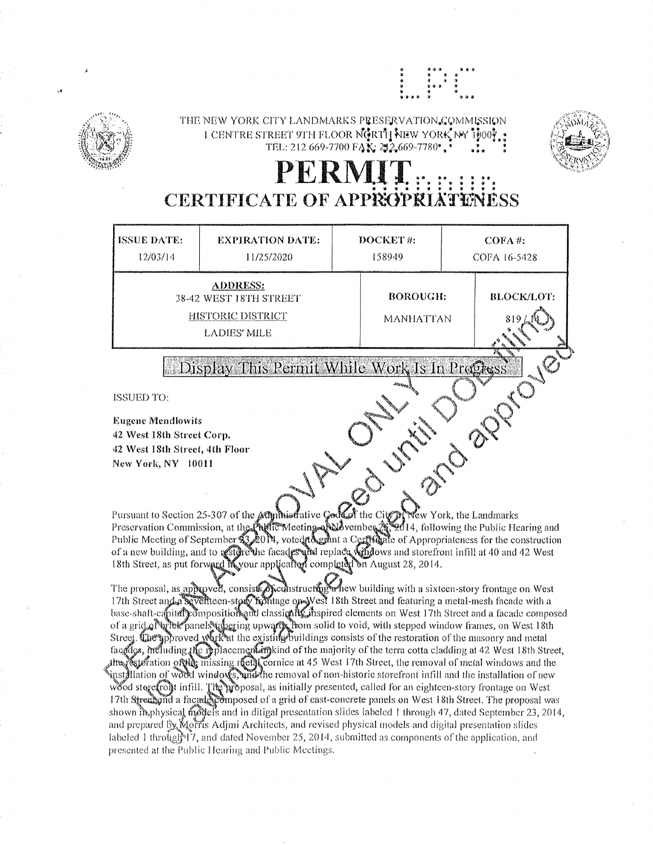

THE NEW YORK CITY LANDMARKS PRESERVATION COMMISSION I CENTRE STREET 9TH FLOOR NGRTH NEW YORK NY 1000? TEL: 212 669-7700 FAX: 212,669-7780\*,\*



# PERMI **CERTIFICATE OF APPROPRI**

| <b>ISSUE DATE:</b><br>12/03/14                                                                                                                                                                                                   | <b>EXPIRATION DATE:</b><br>11/25/2020 | DOCKET#:<br>158949           | $COFA$ #:<br>COFA 16-5428 |
|----------------------------------------------------------------------------------------------------------------------------------------------------------------------------------------------------------------------------------|---------------------------------------|------------------------------|---------------------------|
| <b>ADDRESS:</b><br>38-42 WEST 18TH STREET<br><b>HISTORIC DISTRICT</b><br><b>LADIES' MILE</b>                                                                                                                                     |                                       | <b>BOROUGH:</b><br>MANHATTAN | <b>BLOCK/LOT:</b><br>819  |
| Display This Permit While Work Is In Progress.<br><b>Siden </b><br>Nesser<br>ISSUED TO:<br><b>Eugene Mendlowits</b><br>42 West 18th Street Corp.<br>42 West 18th Street, 4th Floor<br>New York, NY 10011<br><b>REAL PROPERTY</b> |                                       |                              |                           |

Pursuant to Section 25-307 of the Administrative Good of the City of Wew York, the Landmarks<br>Preservation Commission, at the Public Meeting of September 23, 2014, following the Public Hearing and<br>Public Meeting of Septembe

The proposal, as approved, consists of constructing with a sixteen-story frontage on West 17th Street and a seventeen-story holitage on West 18th Street and featuring a metal-mesh facade with a base-shaft-capital composed of a grid of write panels upwards from solid to void, with stepped window frames, on West 18th<br>Street. The approved work at the existing buildings consists of the restoration of the masonry and metal facedge, including the replacement in kind of the majority of the terra cotta cladding at 42 West 18th Street,  $\mu$  and  $\delta$  and  $\delta$  and  $\delta$  and  $\delta$  and  $\delta$  and  $\delta$  and  $\delta$  and  $\delta$  and  $\delta$  and  $\delta$  and  $\delta$  and  $\delta$  and  $\delta$  and  $\delta$  and  $\delta$  and  $\delta$  and  $\delta$  and  $\delta$  and  $\delta$  and  $\delta$  and  $\delta$  and  $\delta$  and  $\delta$  and  $\delta$  instållation of wordd windows, and the removal of non-historic storefront infill and the installation of new wood stere from infill. The proposal, as initially presented, called for an eighteen-story frontage on West 17th Street and a facade composed of a grid of cast-concrete panels on West 18th Street. The proposal was shown in physical models and in ditigal presentation slides labeled 1 through 47, dated September 23, 2014, and prepared by Morris Adjmi Architects, and revised physical models and digital presentation slides labeled 1 through  $17$ , and dated November 25, 2014, submitted as components of the application, and presented at the Public Hearing and Public Meetings.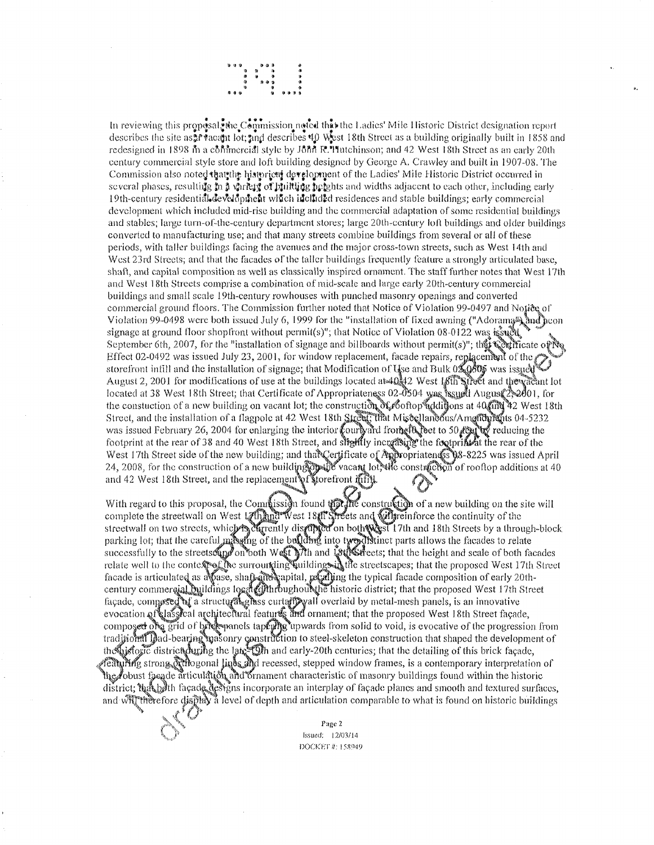

In reviewing this proposal whe Commission noted this the Ladies' Mile Historic District designation report describes the site as  $\frac{1}{2}$  reactivity lot;  $\frac{1}{2}$  and describes  $40$  West 18th Street as a building originally built in 1858 and redesigned in 1898 in a commercial style by John R. Hutchinson; and 42 West 18th Street as an early 20th eentury commercial style store and loft building designed by George A, Crawley and built in 1907-08. The Commission also noted that the historical development of the Ladies' Mile Historic District occurred in several phases, resulting in a variety of builting in the sad widths adjacent to each other, including early 19th-century residential development wifich in climate residences and stable buildings; early commercial development which included mid-rise building and the commercial adaptation of some residential buildings and stables; large tum-of-the-century department stores; large 20th-century loft buildings and older buildings converted to manufacturing use; and that many streets combine buildings from several or all of these periods, with taller buildings facing the avenues and the major cross-town streets, such as West 14th and West 23rd Streets; and that the facades of the taller buildings frequently feature a strongly articulated base, shaft, and capital composition as well as classically inspired ornament. The staff further notes that West 17th and West 18th Streets comprise a combination of raid-scale and large early 20th-century commercial buildings and small scale 19th-century rowhouses with punched masonry openings and converted commercial ground floors. The Commission further noted that Notice of Violation 99-0497 and Notice of Violation 99-0498 were both issued July 6, 1999 for the "installation of fixed awning ("Adorama) and neon signage at ground floor shop front without permit(s)"; that Notice of Violation 08-0122 was in  $\mathbb{R}^3$ September 6th, 2007, for the "installation of signage and billboards without permit(s)"; the Celificate of No Effect 02-0492 was issued July 23, 2001, for window replacement, facade repairs, replacement of the storefront infill and the installation of signage; that Modification of  $U_{\text{S}}$ e and Bulk  $0\frac{1}{400}$  was issue $\sqrt[4]{400}$ August 2, 2001 for modifications of use at the buildings located at  $40\frac{1}{3}$  West 18th Street and the vacant lot located at 38 West 18th Street; that Certificate of Appropriateness 02-0504 was issued August 2,2001, for the constuction of a new building on vacant lot; the construction  $\delta$ foftop addigons at 40 and 42 West 18th Street, and the installation of a flagpole at 42 West 18th Street, that Mise llaneous/Amrften at 04-5232 was issued February 26, 2004 for enlarging the interior fourly and from  $\epsilon$  bet to 50 reducing the footprint at the rear of 38 and 40 West 18th Street, and slightly increasing the footprint it the rear of the West 17th Street side of the new building; and that  $\mathbb{C}$ ertificate of 24, 2008, for the construction of a new building  $\mathbb{C}$  wacant lot? and 42 West 18th Street, and the replacenjent\»fforefront opriatendss 08-8225 was issued April c constraction of rooftop additions at  $40$ 

With regard to this proposal, the Connecision found the construction of a new building on the site will complete the streetwall on West 17 Mest 18<sup>1</sup> Streets and will reinforce the continuity of the streetwall on two streets, which is digripted on both west 17th and 18th Streets by a through-block parking lot; that the careful mass fing of the building into tyre distinct parts allows the facades to relate successfully to the streetsoup on both West With and Lot est that the height and scale of both facades relate well to the context of the surrounding wildings the streetscapes; that the proposed West 17th Street facade is articulated as a pase, shaft apital, regaling the typical facade composition of early 20thcentury commergial Duildings local (Gilthroughout the historic district; that the proposed West 17th Street façade, composed of a structural gloss curtatio wall overlaid by metal-mesh panels, is an innovative evocation of Hassical architeclural features and ornament; that the proposed West 18th Street façade, composed on grid of bride manels tapfully upwards from solid to void, is evocative of the progression from traditional pad-bearing masonry construction to steel-skeleton construction that shaped the development of the bistopic district during the late-Din and early-20th centuries; that the detailing of this brick facade, strong Nthogonal lines and recessed, stepped window frames, is a contemporary interpretation of  $\ln$ *r*obust facade articuldtion and ornament characteristic of masonry buildings found within the historic district; the both façade designs incorporate an interplay of façade planes and smooth and textured surfaces, and will therefore display a level of depth and articulation comparable to what is found on historic buildings  $\sim$  Page 2



**Page 2**<br>*Issued:* 12/03/14 DOCKET *8:* I5W;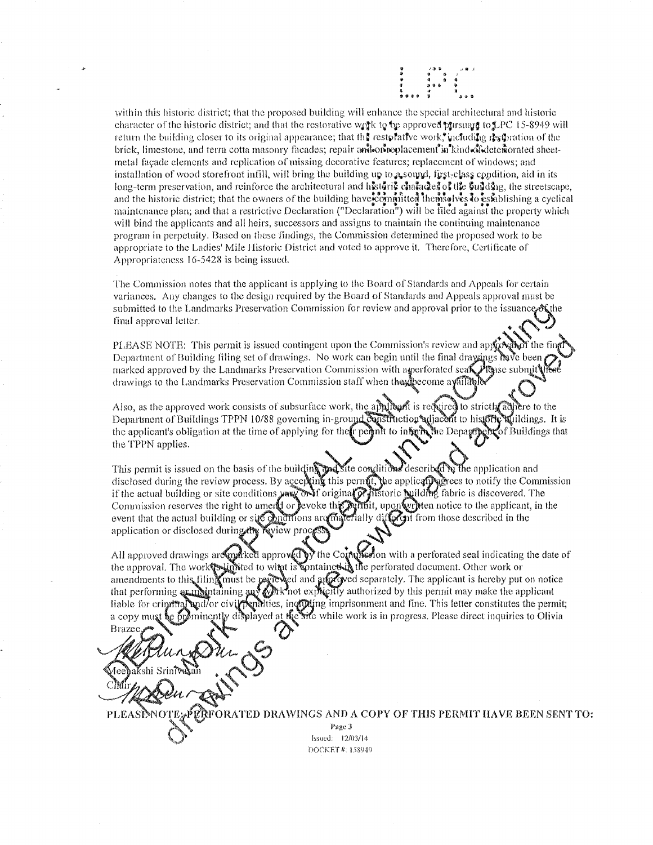

within this historic district; that the proposed building will enhance the special architectural and historic character of the historic district; and that the restorative work to be approved prisual to LPC 15-8949 will return the building closer to its original appearance; that the restorative work, including restration of the brick, limestone, and terra cotta masonry facades; repair and consequencement in kind of determinated sheetmetal fayade elements and replication of missing decorative features; replacement of windows; and installation of wood storefront infill, will bring the building up to  $a_s$  soupd, first-elass condition, aid in its long-term preservation, and reinforce the architectural and historic character of the Su3d3ng, the streetscape, and the historic district; that the owners of the building have committed themselves to establishing a cyclical maintenance plan; and that a restrictive Declaration ("Declaration") will be filed against the property which will bind the applicants and all heirs, successors and assigns to maintain the continuing maintenance program in perpetuity. Based on these findings, the Commission determined the proposed work to be appropriate to the Ladies' Mile Historic District and voted to approve it. Therefore, Certificate of Appropriateness 16-5428 is being issued.

The Commission notes that the applicant is applying to the Board of Standards and Appeals for certain variances. Any changes to the design required by the Board of Standards and Appeals approval must be submitted to the Landmarks Preservation Commission for review and approval prior to the issuance other final approval letter. ^

PLEASE NOTE: This permit is issued contingent upon the Commission's review and applicible fit of the fi Department of Building filing set of drawings. No work can begin until the final drawings  $\frac{\partial^2 u}{\partial x^2}$ marked approved by the Landmarks Preservation Commission with a generorated sea $\mathbb{Z}^p$  base submit drawings to the Landmarks Preservation Commission staff when the procedure available<br>Also, as the approved work consists of subsurface work, the amilyout is reduired to str

Also, as the approved work consists of subsurface work, the applicant is required to strictly adject to the Department of Buildings TPPN 10/88 governing in-ground construction adjacent to history adjildings. It is the applicant's obligation at the time of applying for the regimit to infinite the Depayroon of Buildings that<br>the TPPN applies.<br>This permit is issued on the basis of the building apartite conditions described by the appli the TPPN applies.

This permit is issued on the basis of the building malities conditions described by the application and disclosed during the review process. By accepting this permit, the applically genes to notify the Commission if the actual building or site conditions yes on if original  $\widehat{\mathcal{O}}$  is different puilding fabric is discovered. The Commission reserves the right to ament or levoke the reflict, upon written notice to the applicant, in the terially different from those described in the event that the actual building or site conditions are  $\mathfrak{m}$ application or disclosed during  $\mathcal{M}\mathcal{R}$  view pro

All approved drawings are  $m^d$  approved by the Commission with a perforated seal indicating the date of the approval. The work**foxlinitied to with is containet in** the perforated document. Other work or amendments to this filing must be raviewed and an approved separately. The applicant is hereby put on notice that performing  $\alpha$  maintaining  $\alpha$   $\beta$  when explicitly authorized by this permit may make the applicant liable for crin a copym , inofulting imprisonment and fine. This letter constitutes the permit; t the sile while work is in progress. Please direct inquiries to Olivia

Brazee

PLEASINOTE PERFORATED DRAWINGS AND A COPY OF THIS PERMIT HAVE BEEN SENT TO: Page 3 Issued: 12/03/14 DOCKET #: 158949